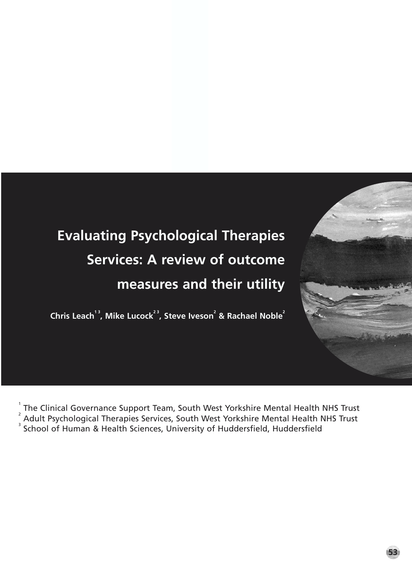# **Evaluating Psychological Therapies Services: A review of outcome measures and their utility**

**Chris Leach** $^{13}$ **, Mike Lucock** $^{23}$ **, Steve Iveson** $^{2}$  **& Rachael Noble** $^{2}$ 

1

The Clinical Governance Support Team, South West Yorkshire Mental Health NHS Trust <sup>2</sup> Adult Psychological Therapies Services, South West Yorkshire Mental Health NHS Trust <sup>3</sup> School of Human & Health Sciences, University of Huddersfield, Huddersfield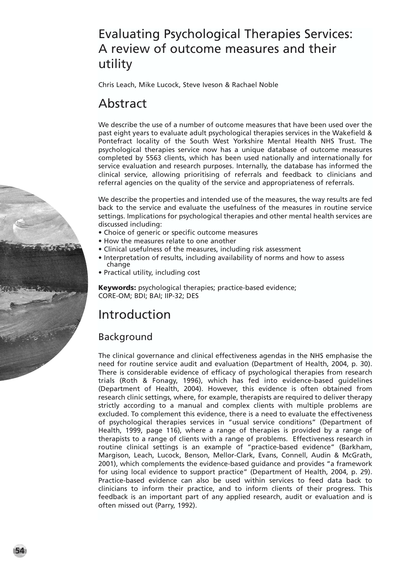# Evaluating Psychological Therapies Services: A review of outcome measures and their utility

Chris Leach, Mike Lucock, Steve Iveson & Rachael Noble

# Abstract

We describe the use of a number of outcome measures that have been used over the past eight years to evaluate adult psychological therapies services in the Wakefield & Pontefract locality of the South West Yorkshire Mental Health NHS Trust. The psychological therapies service now has a unique database of outcome measures completed by 5563 clients, which has been used nationally and internationally for service evaluation and research purposes. Internally, the database has informed the clinical service, allowing prioritising of referrals and feedback to clinicians and referral agencies on the quality of the service and appropriateness of referrals.

We describe the properties and intended use of the measures, the way results are fed back to the service and evaluate the usefulness of the measures in routine service settings. Implications for psychological therapies and other mental health services are discussed including:

- Choice of generic or specific outcome measures
- How the measures relate to one another
- Clinical usefulness of the measures, including risk assessment
	- Interpretation of results, including availability of norms and how to assess change
	- Practical utility, including cost

**Keywords:** psychological therapies; practice-based evidence; CORE-OM; BDI; BAI; IIP-32; DES

# Introduction

# **Background**

**54**

The clinical governance and clinical effectiveness agendas in the NHS emphasise the need for routine service audit and evaluation (Department of Health, 2004, p. 30). There is considerable evidence of efficacy of psychological therapies from research trials (Roth & Fonagy, 1996), which has fed into evidence-based guidelines (Department of Health, 2004). However, this evidence is often obtained from research clinic settings, where, for example, therapists are required to deliver therapy strictly according to a manual and complex clients with multiple problems are excluded. To complement this evidence, there is a need to evaluate the effectiveness of psychological therapies services in "usual service conditions" (Department of Health, 1999, page 116), where a range of therapies is provided by a range of therapists to a range of clients with a range of problems. Effectiveness research in routine clinical settings is an example of "practice-based evidence" (Barkham, Margison, Leach, Lucock, Benson, Mellor-Clark, Evans, Connell, Audin & McGrath, 2001), which complements the evidence-based guidance and provides "a framework for using local evidence to support practice" (Department of Health, 2004, p. 29). Practice-based evidence can also be used within services to feed data back to clinicians to inform their practice, and to inform clients of their progress. This feedback is an important part of any applied research, audit or evaluation and is often missed out (Parry, 1992).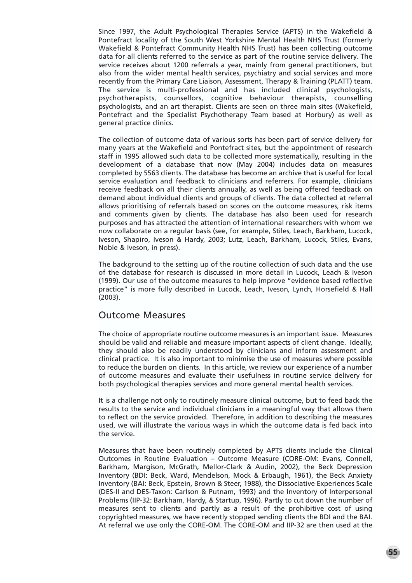Since 1997, the Adult Psychological Therapies Service (APTS) in the Wakefield & Pontefract locality of the South West Yorkshire Mental Health NHS Trust (formerly Wakefield & Pontefract Community Health NHS Trust) has been collecting outcome data for all clients referred to the service as part of the routine service delivery. The service receives about 1200 referrals a year, mainly from general practitioners, but also from the wider mental health services, psychiatry and social services and more recently from the Primary Care Liaison, Assessment, Therapy & Training (PLATT) team. The service is multi-professional and has included clinical psychologists, psychotherapists, counsellors, cognitive behaviour therapists, counselling psychologists, and an art therapist. Clients are seen on three main sites (Wakefield, Pontefract and the Specialist Psychotherapy Team based at Horbury) as well as general practice clinics.

The collection of outcome data of various sorts has been part of service delivery for many years at the Wakefield and Pontefract sites, but the appointment of research staff in 1995 allowed such data to be collected more systematically, resulting in the development of a database that now (May 2004) includes data on measures completed by 5563 clients. The database has become an archive that is useful for local service evaluation and feedback to clinicians and referrers. For example, clinicians receive feedback on all their clients annually, as well as being offered feedback on demand about individual clients and groups of clients. The data collected at referral allows prioritising of referrals based on scores on the outcome measures, risk items and comments given by clients. The database has also been used for research purposes and has attracted the attention of international researchers with whom we now collaborate on a regular basis (see, for example, Stiles, Leach, Barkham, Lucock, Iveson, Shapiro, Iveson & Hardy, 2003; Lutz, Leach, Barkham, Lucock, Stiles, Evans, Noble & Iveson, in press).

The background to the setting up of the routine collection of such data and the use of the database for research is discussed in more detail in Lucock, Leach & Iveson (1999). Our use of the outcome measures to help improve "evidence based reflective practice" is more fully described in Lucock, Leach, Iveson, Lynch, Horsefield & Hall (2003).

#### Outcome Measures

The choice of appropriate routine outcome measures is an important issue. Measures should be valid and reliable and measure important aspects of client change. Ideally, they should also be readily understood by clinicians and inform assessment and clinical practice. It is also important to minimise the use of measures where possible to reduce the burden on clients. In this article, we review our experience of a number of outcome measures and evaluate their usefulness in routine service delivery for both psychological therapies services and more general mental health services.

It is a challenge not only to routinely measure clinical outcome, but to feed back the results to the service and individual clinicians in a meaningful way that allows them to reflect on the service provided. Therefore, in addition to describing the measures used, we will illustrate the various ways in which the outcome data is fed back into the service.

Measures that have been routinely completed by APTS clients include the Clinical Outcomes in Routine Evaluation – Outcome Measure (CORE-OM: Evans, Connell, Barkham, Margison, McGrath, Mellor-Clark & Audin, 2002), the Beck Depression Inventory (BDI: Beck, Ward, Mendelson, Mock & Erbaugh, 1961), the Beck Anxiety Inventory (BAI: Beck, Epstein, Brown & Steer, 1988), the Dissociative Experiences Scale (DES-II and DES-Taxon: Carlson & Putnam, 1993) and the Inventory of Interpersonal Problems (IIP-32: Barkham, Hardy, & Startup, 1996). Partly to cut down the number of measures sent to clients and partly as a result of the prohibitive cost of using copyrighted measures, we have recently stopped sending clients the BDI and the BAI. At referral we use only the CORE-OM. The CORE-OM and IIP-32 are then used at the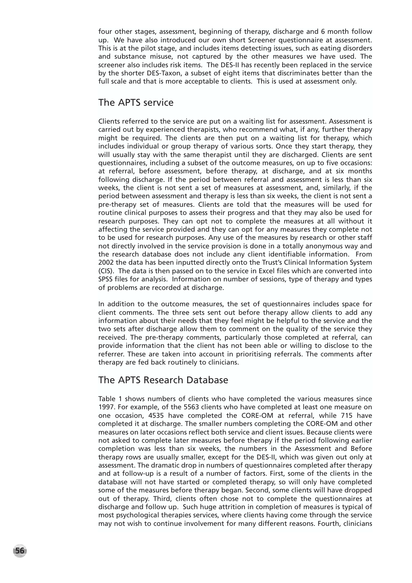four other stages, assessment, beginning of therapy, discharge and 6 month follow up. We have also introduced our own short Screener questionnaire at assessment. This is at the pilot stage, and includes items detecting issues, such as eating disorders and substance misuse, not captured by the other measures we have used. The screener also includes risk items. The DES-II has recently been replaced in the service by the shorter DES-Taxon, a subset of eight items that discriminates better than the full scale and that is more acceptable to clients. This is used at assessment only.

#### The APTS service

Clients referred to the service are put on a waiting list for assessment. Assessment is carried out by experienced therapists, who recommend what, if any, further therapy might be required. The clients are then put on a waiting list for therapy, which includes individual or group therapy of various sorts. Once they start therapy, they will usually stay with the same therapist until they are discharged. Clients are sent questionnaires, including a subset of the outcome measures, on up to five occasions: at referral, before assessment, before therapy, at discharge, and at six months following discharge. If the period between referral and assessment is less than six weeks, the client is not sent a set of measures at assessment, and, similarly, if the period between assessment and therapy is less than six weeks, the client is not sent a pre-therapy set of measures. Clients are told that the measures will be used for routine clinical purposes to assess their progress and that they may also be used for research purposes. They can opt not to complete the measures at all without it affecting the service provided and they can opt for any measures they complete not to be used for research purposes. Any use of the measures by research or other staff not directly involved in the service provision is done in a totally anonymous way and the research database does not include any client identifiable information. From 2002 the data has been inputted directly onto the Trust's Clinical Information System (CIS). The data is then passed on to the service in Excel files which are converted into SPSS files for analysis. Information on number of sessions, type of therapy and types of problems are recorded at discharge.

In addition to the outcome measures, the set of questionnaires includes space for client comments. The three sets sent out before therapy allow clients to add any information about their needs that they feel might be helpful to the service and the two sets after discharge allow them to comment on the quality of the service they received. The pre-therapy comments, particularly those completed at referral, can provide information that the client has not been able or willing to disclose to the referrer. These are taken into account in prioritising referrals. The comments after therapy are fed back routinely to clinicians.

## The APTS Research Database

Table 1 shows numbers of clients who have completed the various measures since 1997. For example, of the 5563 clients who have completed at least one measure on one occasion, 4535 have completed the CORE-OM at referral, while 715 have completed it at discharge. The smaller numbers completing the CORE-OM and other measures on later occasions reflect both service and client issues. Because clients were not asked to complete later measures before therapy if the period following earlier completion was less than six weeks, the numbers in the Assessment and Before therapy rows are usually smaller, except for the DES-II, which was given out only at assessment. The dramatic drop in numbers of questionnaires completed after therapy and at follow-up is a result of a number of factors. First, some of the clients in the database will not have started or completed therapy, so will only have completed some of the measures before therapy began. Second, some clients will have dropped out of therapy. Third, clients often chose not to complete the questionnaires at discharge and follow up. Such huge attrition in completion of measures is typical of most psychological therapies services, where clients having come through the service may not wish to continue involvement for many different reasons. Fourth, clinicians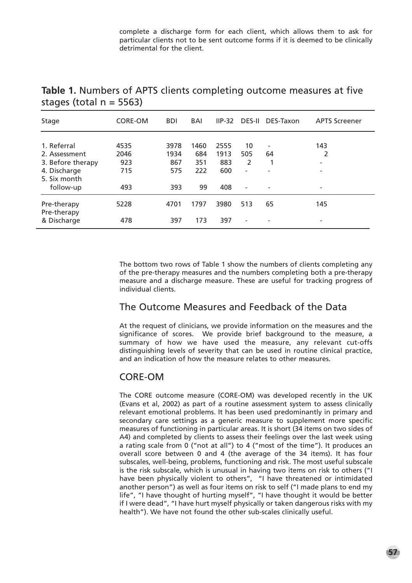complete a discharge form for each client, which allows them to ask for particular clients not to be sent outcome forms if it is deemed to be clinically detrimental for the client.

| Stage                      | CORE-OM | <b>BDI</b> | BAI  | $IP-32$ | <b>DES-II</b>            | DES-Taxon                | <b>APTS Screener</b>     |
|----------------------------|---------|------------|------|---------|--------------------------|--------------------------|--------------------------|
|                            |         |            |      |         |                          |                          |                          |
| 1. Referral                | 4535    | 3978       | 1460 | 2555    | 10                       |                          | 143                      |
| 2. Assessment              | 2046    | 1934       | 684  | 1913    | 505                      | 64                       | 2                        |
| 3. Before therapy          | 923     | 867        | 351  | 883     | 2                        |                          | $\overline{\phantom{a}}$ |
| 4. Discharge               | 715     | 575        | 222  | 600     | $\overline{\phantom{0}}$ | $\overline{\phantom{0}}$ | $\overline{\phantom{a}}$ |
| 5. Six month               |         |            |      |         |                          |                          |                          |
| follow-up                  | 493     | 393        | 99   | 408     | $\overline{\phantom{a}}$ |                          | $\overline{\phantom{a}}$ |
| Pre-therapy<br>Pre-therapy | 5228    | 4701       | 1797 | 3980    | 513                      | 65                       | 145                      |
| & Discharge                | 478     | 397        | 173  | 397     | $\overline{\phantom{0}}$ |                          |                          |

**Table 1.** Numbers of APTS clients completing outcome measures at five stages (total  $n = 5563$ )

The bottom two rows of Table 1 show the numbers of clients completing any of the pre-therapy measures and the numbers completing both a pre-therapy measure and a discharge measure. These are useful for tracking progress of individual clients.

## The Outcome Measures and Feedback of the Data

At the request of clinicians, we provide information on the measures and the significance of scores. We provide brief background to the measure, a summary of how we have used the measure, any relevant cut-offs distinguishing levels of severity that can be used in routine clinical practice, and an indication of how the measure relates to other measures.

## CORE-OM

The CORE outcome measure (CORE-OM) was developed recently in the UK (Evans et al, 2002) as part of a routine assessment system to assess clinically relevant emotional problems. It has been used predominantly in primary and secondary care settings as a generic measure to supplement more specific measures of functioning in particular areas. It is short (34 items on two sides of A4) and completed by clients to assess their feelings over the last week using a rating scale from 0 ("not at all") to 4 ("most of the time"). It produces an overall score between 0 and 4 (the average of the 34 items). It has four subscales, well-being, problems, functioning and risk. The most useful subscale is the risk subscale, which is unusual in having two items on risk to others ("I have been physically violent to others", "I have threatened or intimidated another person") as well as four items on risk to self ("I made plans to end my life", "I have thought of hurting myself", "I have thought it would be better if I were dead", "I have hurt myself physically or taken dangerous risks with my health"). We have not found the other sub-scales clinically useful.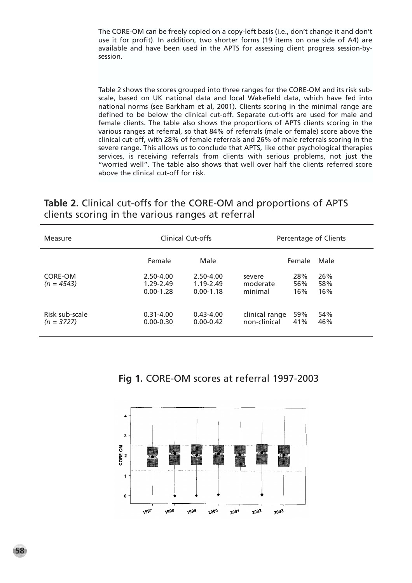The CORE-OM can be freely copied on a copy-left basis (i.e., don't change it and don't use it for profit). In addition, two shorter forms (19 items on one side of A4) are available and have been used in the APTS for assessing client progress session-bysession.

Table 2 shows the scores grouped into three ranges for the CORE-OM and its risk subscale, based on UK national data and local Wakefield data, which have fed into national norms (see Barkham et al, 2001). Clients scoring in the minimal range are defined to be below the clinical cut-off. Separate cut-offs are used for male and female clients. The table also shows the proportions of APTS clients scoring in the various ranges at referral, so that 84% of referrals (male or female) score above the clinical cut-off, with 28% of female referrals and 26% of male referrals scoring in the severe range. This allows us to conclude that APTS, like other psychological therapies services, is receiving referrals from clients with serious problems, not just the "worried well". The table also shows that well over half the clients referred score above the clinical cut-off for risk.

## **Table 2.** Clinical cut-offs for the CORE-OM and proportions of APTS clients scoring in the various ranges at referral

| Measure                        | Clinical Cut-offs                           | Percentage of Clients                       |                                |                   |                   |
|--------------------------------|---------------------------------------------|---------------------------------------------|--------------------------------|-------------------|-------------------|
|                                | Female                                      | Male                                        |                                | Female            | Male              |
| CORE-OM<br>$(n = 4543)$        | $2.50 - 4.00$<br>1.29-2.49<br>$0.00 - 1.28$ | $2.50 - 4.00$<br>1.19-2.49<br>$0.00 - 1.18$ | severe<br>moderate<br>minimal  | 28%<br>56%<br>16% | 26%<br>58%<br>16% |
| Risk sub-scale<br>$(n = 3727)$ | $0.31 - 4.00$<br>$0.00 - 0.30$              | $0.43 - 4.00$<br>$0.00 - 0.42$              | clinical range<br>non-clinical | 59%<br>41%        | 54%<br>46%        |



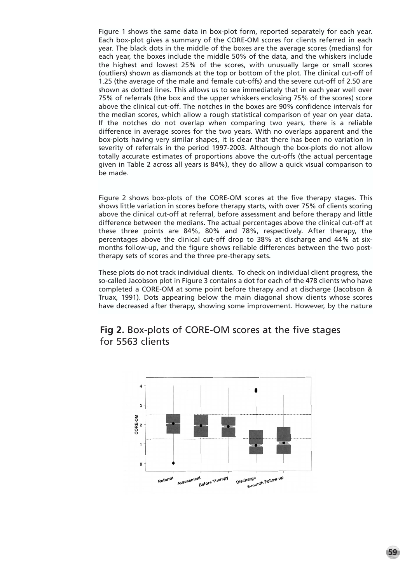Figure 1 shows the same data in box-plot form, reported separately for each year. Each box-plot gives a summary of the CORE-OM scores for clients referred in each year. The black dots in the middle of the boxes are the average scores (medians) for each year, the boxes include the middle 50% of the data, and the whiskers include the highest and lowest 25% of the scores, with unusually large or small scores (outliers) shown as diamonds at the top or bottom of the plot. The clinical cut-off of 1.25 (the average of the male and female cut-offs) and the severe cut-off of 2.50 are shown as dotted lines. This allows us to see immediately that in each year well over 75% of referrals (the box and the upper whiskers enclosing 75% of the scores) score above the clinical cut-off. The notches in the boxes are 90% confidence intervals for the median scores, which allow a rough statistical comparison of year on year data. If the notches do not overlap when comparing two years, there is a reliable difference in average scores for the two years. With no overlaps apparent and the box-plots having very similar shapes, it is clear that there has been no variation in severity of referrals in the period 1997-2003. Although the box-plots do not allow totally accurate estimates of proportions above the cut-offs (the actual percentage given in Table 2 across all years is 84%), they do allow a quick visual comparison to be made.

Figure 2 shows box-plots of the CORE-OM scores at the five therapy stages. This shows little variation in scores before therapy starts, with over 75% of clients scoring above the clinical cut-off at referral, before assessment and before therapy and little difference between the medians. The actual percentages above the clinical cut-off at these three points are 84%, 80% and 78%, respectively. After therapy, the percentages above the clinical cut-off drop to 38% at discharge and 44% at sixmonths follow-up, and the figure shows reliable differences between the two posttherapy sets of scores and the three pre-therapy sets.

These plots do not track individual clients. To check on individual client progress, the so-called Jacobson plot in Figure 3 contains a dot for each of the 478 clients who have completed a CORE-OM at some point before therapy and at discharge (Jacobson & Truax, 1991). Dots appearing below the main diagonal show clients whose scores have decreased after therapy, showing some improvement. However, by the nature

### **Fig 2.** Box-plots of CORE-OM scores at the five stages for 5563 clients

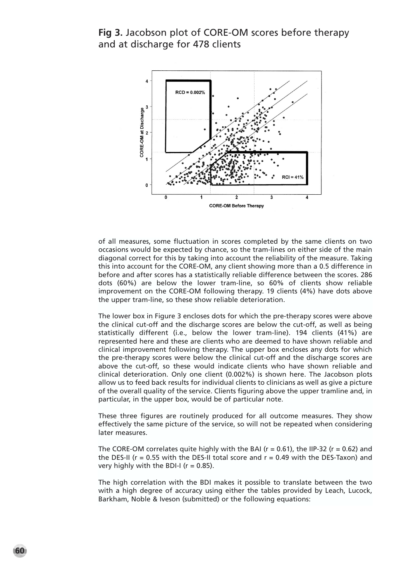**Fig 3.** Jacobson plot of CORE-OM scores before therapy and at discharge for 478 clients



of all measures, some fluctuation in scores completed by the same clients on two occasions would be expected by chance, so the tram-lines on either side of the main diagonal correct for this by taking into account the reliability of the measure. Taking this into account for the CORE-OM, any client showing more than a 0.5 difference in before and after scores has a statistically reliable difference between the scores. 286 dots (60%) are below the lower tram-line, so 60% of clients show reliable improvement on the CORE-OM following therapy. 19 clients (4%) have dots above the upper tram-line, so these show reliable deterioration.

The lower box in Figure 3 encloses dots for which the pre-therapy scores were above the clinical cut-off and the discharge scores are below the cut-off, as well as being statistically different (i.e., below the lower tram-line). 194 clients (41%) are represented here and these are clients who are deemed to have shown reliable and clinical improvement following therapy. The upper box encloses any dots for which the pre-therapy scores were below the clinical cut-off and the discharge scores are above the cut-off, so these would indicate clients who have shown reliable and clinical deterioration. Only one client (0.002%) is shown here. The Jacobson plots allow us to feed back results for individual clients to clinicians as well as give a picture of the overall quality of the service. Clients figuring above the upper tramline and, in particular, in the upper box, would be of particular note.

These three figures are routinely produced for all outcome measures. They show effectively the same picture of the service, so will not be repeated when considering later measures.

The CORE-OM correlates quite highly with the BAI ( $r = 0.61$ ), the IIP-32 ( $r = 0.62$ ) and the DES-II ( $r = 0.55$  with the DES-II total score and  $r = 0.49$  with the DES-Taxon) and very highly with the BDI-I ( $r = 0.85$ ).

The high correlation with the BDI makes it possible to translate between the two with a high degree of accuracy using either the tables provided by Leach, Lucock, Barkham, Noble & Iveson (submitted) or the following equations: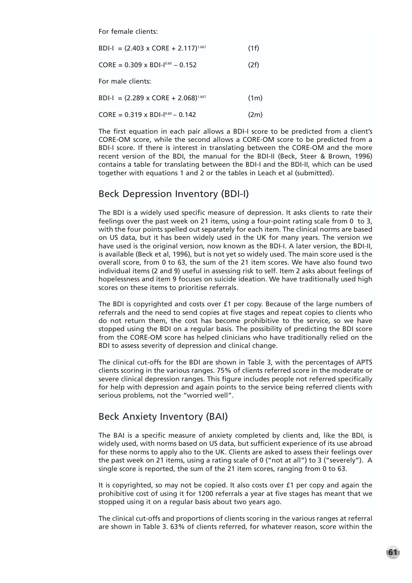For female clients:

|  |  | $BDI-I = (2.403 \times CORE + 2.117)^{1.667}$ | (1f) |
|--|--|-----------------------------------------------|------|
|--|--|-----------------------------------------------|------|

 $CORE = 0.309 \times BDI-I<sup>0.60</sup> - 0.152$  (2f)

For male clients:

BDI-I =  $(2.289 \times \text{CORE} + 2.068)^{1.667}$  (1m)

 $CORE = 0.319 \times BDI-I<sup>0.60</sup> - 0.142$  (2m)

The first equation in each pair allows a BDI-I score to be predicted from a client's CORE-OM score, while the second allows a CORE-OM score to be predicted from a BDI-I score. If there is interest in translating between the CORE-OM and the more recent version of the BDI, the manual for the BDI-II (Beck, Steer & Brown, 1996) contains a table for translating between the BDI-I and the BDI-II, which can be used together with equations 1 and 2 or the tables in Leach et al (submitted).

#### Beck Depression Inventory (BDI-I)

The BDI is a widely used specific measure of depression. It asks clients to rate their feelings over the past week on 21 items, using a four-point rating scale from 0 to 3, with the four points spelled out separately for each item. The clinical norms are based on US data, but it has been widely used in the UK for many years. The version we have used is the original version, now known as the BDI-I. A later version, the BDI-II, is available (Beck et al, 1996), but is not yet so widely used. The main score used is the overall score, from 0 to 63, the sum of the 21 item scores. We have also found two individual items (2 and 9) useful in assessing risk to self. Item 2 asks about feelings of hopelessness and item 9 focuses on suicide ideation. We have traditionally used high scores on these items to prioritise referrals.

The BDI is copyrighted and costs over £1 per copy. Because of the large numbers of referrals and the need to send copies at five stages and repeat copies to clients who do not return them, the cost has become prohibitive to the service, so we have stopped using the BDI on a regular basis. The possibility of predicting the BDI score from the CORE-OM score has helped clinicians who have traditionally relied on the BDI to assess severity of depression and clinical change.

The clinical cut-offs for the BDI are shown in Table 3, with the percentages of APTS clients scoring in the various ranges. 75% of clients referred score in the moderate or severe clinical depression ranges. This figure includes people not referred specifically for help with depression and again points to the service being referred clients with serious problems, not the "worried well".

#### Beck Anxiety Inventory (BAI)

The BAI is a specific measure of anxiety completed by clients and, like the BDI, is widely used, with norms based on US data, but sufficient experience of its use abroad for these norms to apply also to the UK. Clients are asked to assess their feelings over the past week on 21 items, using a rating scale of 0 ("not at all") to 3 ("severely"). A single score is reported, the sum of the 21 item scores, ranging from 0 to 63.

It is copyrighted, so may not be copied. It also costs over £1 per copy and again the prohibitive cost of using it for 1200 referrals a year at five stages has meant that we stopped using it on a regular basis about two years ago.

The clinical cut-offs and proportions of clients scoring in the various ranges at referral are shown in Table 3. 63% of clients referred, for whatever reason, score within the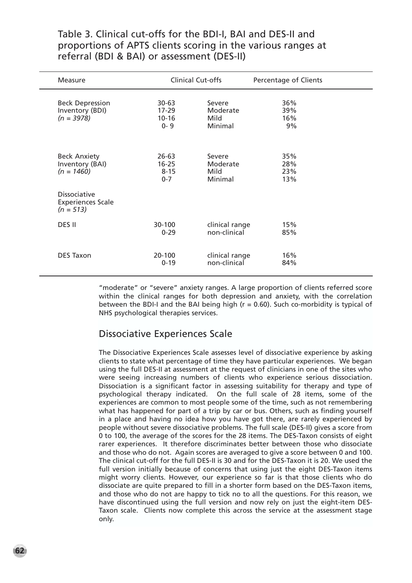Table 3. Clinical cut-offs for the BDI-I, BAI and DES-II and proportions of APTS clients scoring in the various ranges at referral (BDI & BAI) or assessment (DES-II)

| Measure                                                        |                                                | Clinical Cut-offs                     | Percentage of Clients    |  |
|----------------------------------------------------------------|------------------------------------------------|---------------------------------------|--------------------------|--|
| <b>Beck Depression</b><br>Inventory (BDI)<br>$(n = 3978)$      | $30 - 63$<br>$17 - 29$<br>$10 - 16$<br>$0 - 9$ | Severe<br>Moderate<br>Mild<br>Minimal | 36%<br>39%<br>16%<br>9%  |  |
| <b>Beck Anxiety</b><br>Inventory (BAI)<br>$(n = 1460)$         | $26 - 63$<br>$16 - 25$<br>$8 - 15$<br>$0 - 7$  | Severe<br>Moderate<br>Mild<br>Minimal | 35%<br>28%<br>23%<br>13% |  |
| <b>Dissociative</b><br><b>Experiences Scale</b><br>$(n = 513)$ |                                                |                                       |                          |  |
| DES II                                                         | 30-100<br>$0 - 29$                             | clinical range<br>non-clinical        | 15%<br>85%               |  |
| <b>DES Taxon</b>                                               | 20-100<br>$0 - 19$                             | clinical range<br>non-clinical        | 16%<br>84%               |  |

"moderate" or "severe" anxiety ranges. A large proportion of clients referred score within the clinical ranges for both depression and anxiety, with the correlation between the BDI-I and the BAI being high ( $r = 0.60$ ). Such co-morbidity is typical of NHS psychological therapies services.

#### Dissociative Experiences Scale

The Dissociative Experiences Scale assesses level of dissociative experience by asking clients to state what percentage of time they have particular experiences. We began using the full DES-II at assessment at the request of clinicians in one of the sites who were seeing increasing numbers of clients who experience serious dissociation. Dissociation is a significant factor in assessing suitability for therapy and type of psychological therapy indicated. On the full scale of 28 items, some of the experiences are common to most people some of the time, such as not remembering what has happened for part of a trip by car or bus. Others, such as finding yourself in a place and having no idea how you have got there, are rarely experienced by people without severe dissociative problems. The full scale (DES-II) gives a score from 0 to 100, the average of the scores for the 28 items. The DES-Taxon consists of eight rarer experiences. It therefore discriminates better between those who dissociate and those who do not. Again scores are averaged to give a score between 0 and 100. The clinical cut-off for the full DES-II is 30 and for the DES-Taxon it is 20. We used the full version initially because of concerns that using just the eight DES-Taxon items might worry clients. However, our experience so far is that those clients who do dissociate are quite prepared to fill in a shorter form based on the DES-Taxon items, and those who do not are happy to tick no to all the questions. For this reason, we have discontinued using the full version and now rely on just the eight-item DES-Taxon scale. Clients now complete this across the service at the assessment stage only.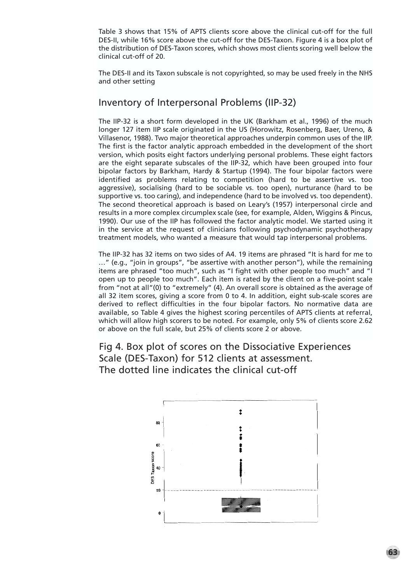Table 3 shows that 15% of APTS clients score above the clinical cut-off for the full DES-II, while 16% score above the cut-off for the DES-Taxon. Figure 4 is a box plot of the distribution of DES-Taxon scores, which shows most clients scoring well below the clinical cut-off of 20.

The DES-II and its Taxon subscale is not copyrighted, so may be used freely in the NHS and other setting

#### Inventory of Interpersonal Problems (IIP-32)

The IIP-32 is a short form developed in the UK (Barkham et al., 1996) of the much longer 127 item IIP scale originated in the US (Horowitz, Rosenberg, Baer, Ureno, & Villasenor, 1988). Two major theoretical approaches underpin common uses of the IIP. The first is the factor analytic approach embedded in the development of the short version, which posits eight factors underlying personal problems. These eight factors are the eight separate subscales of the IIP-32, which have been grouped into four bipolar factors by Barkham, Hardy & Startup (1994). The four bipolar factors were identified as problems relating to competition (hard to be assertive vs. too aggressive), socialising (hard to be sociable vs. too open), nurturance (hard to be supportive vs. too caring), and independence (hard to be involved vs. too dependent). The second theoretical approach is based on Leary's (1957) interpersonal circle and results in a more complex circumplex scale (see, for example, Alden, Wiggins & Pincus, 1990). Our use of the IIP has followed the factor analytic model. We started using it in the service at the request of clinicians following psychodynamic psychotherapy treatment models, who wanted a measure that would tap interpersonal problems.

The IIP-32 has 32 items on two sides of A4. 19 items are phrased "It is hard for me to …" (e.g., "join in groups", "be assertive with another person"), while the remaining items are phrased "too much", such as "I fight with other people too much" and "I open up to people too much". Each item is rated by the client on a five-point scale from "not at all"(0) to "extremely" (4). An overall score is obtained as the average of all 32 item scores, giving a score from 0 to 4. In addition, eight sub-scale scores are derived to reflect difficulties in the four bipolar factors. No normative data are available, so Table 4 gives the highest scoring percentiles of APTS clients at referral, which will allow high scorers to be noted. For example, only 5% of clients score 2.62 or above on the full scale, but 25% of clients score 2 or above.

Fig 4. Box plot of scores on the Dissociative Experiences Scale (DES-Taxon) for 512 clients at assessment. The dotted line indicates the clinical cut-off

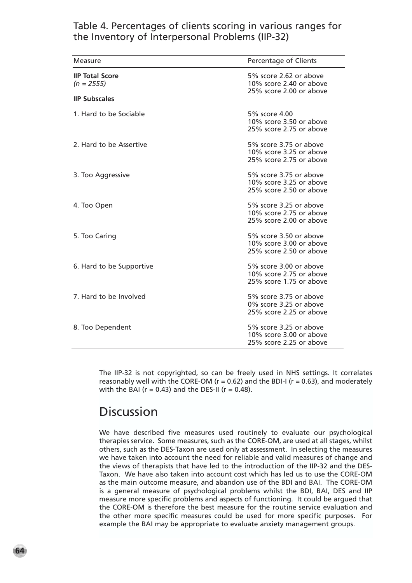## Table 4. Percentages of clients scoring in various ranges for the Inventory of Interpersonal Problems (IIP-32)

| Measure                                | Percentage of Clients                                                        |
|----------------------------------------|------------------------------------------------------------------------------|
| <b>IIP Total Score</b><br>$(n = 2555)$ | 5% score 2.62 or above<br>10% score 2.40 or above<br>25% score 2.00 or above |
| <b>IIP Subscales</b>                   |                                                                              |
| 1. Hard to be Sociable                 | 5% score 4.00<br>10% score 3.50 or above<br>25% score 2.75 or above          |
| 2. Hard to be Assertive                | 5% score 3.75 or above<br>10% score 3.25 or above<br>25% score 2.75 or above |
| 3. Too Aggressive                      | 5% score 3.75 or above<br>10% score 3.25 or above<br>25% score 2.50 or above |
| 4. Too Open                            | 5% score 3.25 or above<br>10% score 2.75 or above<br>25% score 2.00 or above |
| 5. Too Caring                          | 5% score 3.50 or above<br>10% score 3.00 or above<br>25% score 2.50 or above |
| 6. Hard to be Supportive               | 5% score 3.00 or above<br>10% score 2.75 or above<br>25% score 1.75 or above |
| 7. Hard to be Involved                 | 5% score 3.75 or above<br>0% score 3.25 or above<br>25% score 2.25 or above  |
| 8. Too Dependent                       | 5% score 3.25 or above<br>10% score 3.00 or above<br>25% score 2.25 or above |

The IIP-32 is not copyrighted, so can be freely used in NHS settings. It correlates reasonably well with the CORE-OM ( $r = 0.62$ ) and the BDI-I ( $r = 0.63$ ), and moderately with the BAI ( $r = 0.43$ ) and the DES-II ( $r = 0.48$ ).

# Discussion

We have described five measures used routinely to evaluate our psychological therapies service. Some measures, such as the CORE-OM, are used at all stages, whilst others, such as the DES-Taxon are used only at assessment. In selecting the measures we have taken into account the need for reliable and valid measures of change and the views of therapists that have led to the introduction of the IIP-32 and the DES-Taxon. We have also taken into account cost which has led us to use the CORE-OM as the main outcome measure, and abandon use of the BDI and BAI. The CORE-OM is a general measure of psychological problems whilst the BDI, BAI, DES and IIP measure more specific problems and aspects of functioning. It could be argued that the CORE-OM is therefore the best measure for the routine service evaluation and the other more specific measures could be used for more specific purposes. For example the BAI may be appropriate to evaluate anxiety management groups.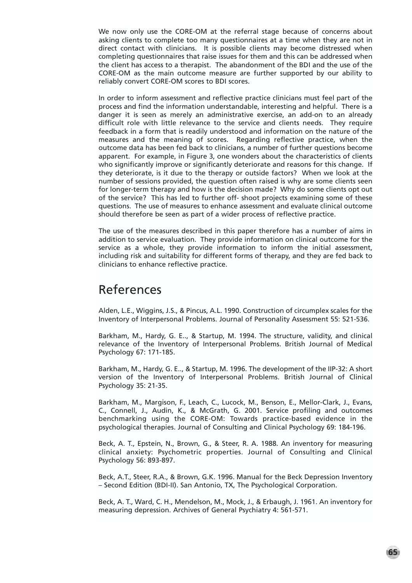We now only use the CORE-OM at the referral stage because of concerns about asking clients to complete too many questionnaires at a time when they are not in direct contact with clinicians. It is possible clients may become distressed when completing questionnaires that raise issues for them and this can be addressed when the client has access to a therapist. The abandonment of the BDI and the use of the CORE-OM as the main outcome measure are further supported by our ability to reliably convert CORE-OM scores to BDI scores.

In order to inform assessment and reflective practice clinicians must feel part of the process and find the information understandable, interesting and helpful. There is a danger it is seen as merely an administrative exercise, an add-on to an already difficult role with little relevance to the service and clients needs. They require feedback in a form that is readily understood and information on the nature of the measures and the meaning of scores. Regarding reflective practice, when the outcome data has been fed back to clinicians, a number of further questions become apparent. For example, in Figure 3, one wonders about the characteristics of clients who significantly improve or significantly deteriorate and reasons for this change. If they deteriorate, is it due to the therapy or outside factors? When we look at the number of sessions provided, the question often raised is why are some clients seen for longer-term therapy and how is the decision made? Why do some clients opt out of the service? This has led to further off- shoot projects examining some of these questions. The use of measures to enhance assessment and evaluate clinical outcome should therefore be seen as part of a wider process of reflective practice.

The use of the measures described in this paper therefore has a number of aims in addition to service evaluation. They provide information on clinical outcome for the service as a whole, they provide information to inform the initial assessment, including risk and suitability for different forms of therapy, and they are fed back to clinicians to enhance reflective practice.

# References

Alden, L.E., Wiggins, J.S., & Pincus, A.L. 1990. Construction of circumplex scales for the Inventory of Interpersonal Problems. Journal of Personality Assessment 55: 521-536.

Barkham, M., Hardy, G. E.., & Startup, M. 1994. The structure, validity, and clinical relevance of the Inventory of Interpersonal Problems. British Journal of Medical Psychology 67: 171-185.

Barkham, M., Hardy, G. E.., & Startup, M. 1996. The development of the IIP-32: A short version of the Inventory of Interpersonal Problems. British Journal of Clinical Psychology 35: 21-35.

Barkham, M., Margison, F., Leach, C., Lucock, M., Benson, E., Mellor-Clark, J., Evans, C., Connell, J., Audin, K., & McGrath, G. 2001. Service profiling and outcomes benchmarking using the CORE-OM: Towards practice-based evidence in the psychological therapies. Journal of Consulting and Clinical Psychology 69: 184-196.

Beck, A. T., Epstein, N., Brown, G., & Steer, R. A. 1988. An inventory for measuring clinical anxiety: Psychometric properties. Journal of Consulting and Clinical Psychology 56: 893-897.

Beck, A.T., Steer, R.A., & Brown, G.K. 1996. Manual for the Beck Depression Inventory – Second Edition (BDI-II). San Antonio, TX, The Psychological Corporation.

Beck, A. T., Ward, C. H., Mendelson, M., Mock, J., & Erbaugh, J. 1961. An inventory for measuring depression. Archives of General Psychiatry 4: 561-571.